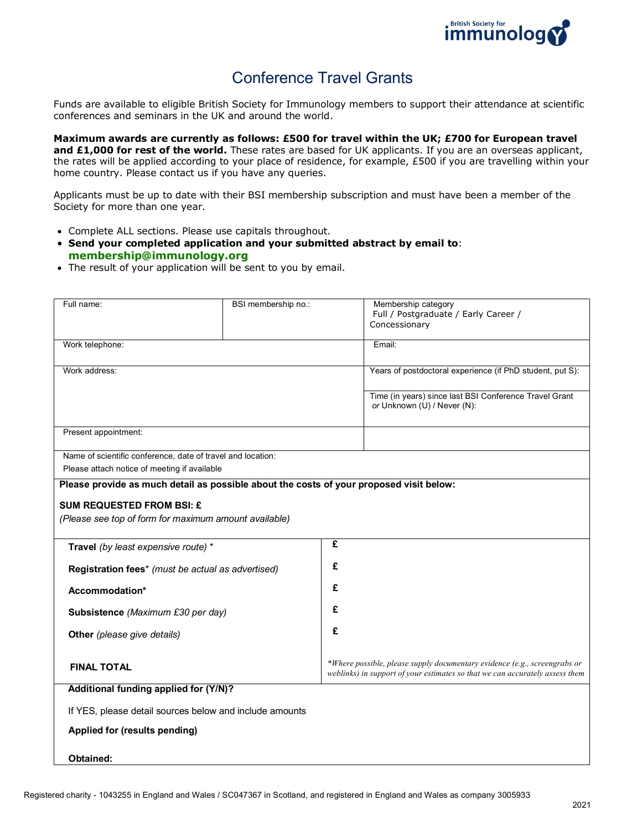

# Conference Travel Grants

Funds are available to eligible British Society for Immunology members to support their attendance at scientific conferences and seminars in the UK and around the world.

**Maximum awards are currently as follows: £500 for travel within the UK; £700 for European travel and £1,000 for rest of the world.** These rates are based for UK applicants. If you are an overseas applicant, the rates will be applied according to your place of residence, for example, £500 if you are travelling within your home country. Please contact us if you have any queries.

Applicants must be up to date with their BSI membership subscription and must have been a member of the Society for more than one year.

- Complete ALL sections. Please use capitals throughout.
- **Send your completed application and your submitted abstract by email to**: **[membership@immunology.org](mailto:membership@immunology.org)**
- The result of your application will be sent to you by email.

| Full name:                                                  | BSI membership no.:                                                                     |   | Membership category                                                                                                                                       |
|-------------------------------------------------------------|-----------------------------------------------------------------------------------------|---|-----------------------------------------------------------------------------------------------------------------------------------------------------------|
|                                                             |                                                                                         |   | Full / Postgraduate / Early Career /                                                                                                                      |
|                                                             |                                                                                         |   | Concessionary                                                                                                                                             |
|                                                             |                                                                                         |   |                                                                                                                                                           |
| Work telephone:                                             |                                                                                         |   | Email:                                                                                                                                                    |
|                                                             |                                                                                         |   |                                                                                                                                                           |
| Work address:                                               |                                                                                         |   | Years of postdoctoral experience (if PhD student, put S):                                                                                                 |
|                                                             |                                                                                         |   |                                                                                                                                                           |
|                                                             |                                                                                         |   |                                                                                                                                                           |
|                                                             |                                                                                         |   | Time (in years) since last BSI Conference Travel Grant                                                                                                    |
|                                                             |                                                                                         |   | or Unknown (U) / Never (N):                                                                                                                               |
|                                                             |                                                                                         |   |                                                                                                                                                           |
| Present appointment:                                        |                                                                                         |   |                                                                                                                                                           |
|                                                             |                                                                                         |   |                                                                                                                                                           |
| Name of scientific conference, date of travel and location: |                                                                                         |   |                                                                                                                                                           |
|                                                             |                                                                                         |   |                                                                                                                                                           |
| Please attach notice of meeting if available                |                                                                                         |   |                                                                                                                                                           |
|                                                             | Please provide as much detail as possible about the costs of your proposed visit below: |   |                                                                                                                                                           |
|                                                             |                                                                                         |   |                                                                                                                                                           |
| <b>SUM REQUESTED FROM BSI: £</b>                            |                                                                                         |   |                                                                                                                                                           |
| (Please see top of form for maximum amount available)       |                                                                                         |   |                                                                                                                                                           |
|                                                             |                                                                                         |   |                                                                                                                                                           |
|                                                             |                                                                                         | £ |                                                                                                                                                           |
| Travel (by least expensive route) *                         |                                                                                         |   |                                                                                                                                                           |
|                                                             |                                                                                         | £ |                                                                                                                                                           |
| Registration fees* (must be actual as advertised)           |                                                                                         |   |                                                                                                                                                           |
|                                                             |                                                                                         | £ |                                                                                                                                                           |
| Accommodation*                                              |                                                                                         |   |                                                                                                                                                           |
|                                                             |                                                                                         | £ |                                                                                                                                                           |
| Subsistence (Maximum £30 per day)                           |                                                                                         |   |                                                                                                                                                           |
|                                                             |                                                                                         |   |                                                                                                                                                           |
| Other (please give details)                                 |                                                                                         | £ |                                                                                                                                                           |
|                                                             |                                                                                         |   |                                                                                                                                                           |
|                                                             |                                                                                         |   |                                                                                                                                                           |
| <b>FINAL TOTAL</b>                                          |                                                                                         |   | *Where possible, please supply documentary evidence (e.g., screengrabs or<br>weblinks) in support of your estimates so that we can accurately assess them |
|                                                             |                                                                                         |   |                                                                                                                                                           |
| Additional funding applied for (Y/N)?                       |                                                                                         |   |                                                                                                                                                           |
|                                                             |                                                                                         |   |                                                                                                                                                           |
| If YES, please detail sources below and include amounts     |                                                                                         |   |                                                                                                                                                           |
|                                                             |                                                                                         |   |                                                                                                                                                           |
| Applied for (results pending)                               |                                                                                         |   |                                                                                                                                                           |
|                                                             |                                                                                         |   |                                                                                                                                                           |
| <b>Obtained:</b>                                            |                                                                                         |   |                                                                                                                                                           |
|                                                             |                                                                                         |   |                                                                                                                                                           |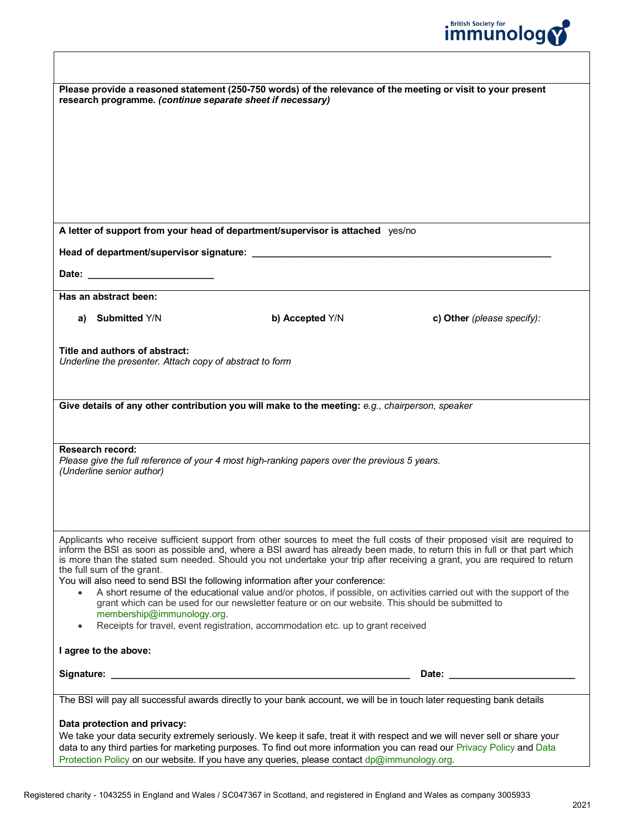

| Please provide a reasoned statement (250-750 words) of the relevance of the meeting or visit to your present<br>research programme. (continue separate sheet if necessary)                                                                                                                                                                                                                                            |  |  |  |  |
|-----------------------------------------------------------------------------------------------------------------------------------------------------------------------------------------------------------------------------------------------------------------------------------------------------------------------------------------------------------------------------------------------------------------------|--|--|--|--|
|                                                                                                                                                                                                                                                                                                                                                                                                                       |  |  |  |  |
|                                                                                                                                                                                                                                                                                                                                                                                                                       |  |  |  |  |
|                                                                                                                                                                                                                                                                                                                                                                                                                       |  |  |  |  |
|                                                                                                                                                                                                                                                                                                                                                                                                                       |  |  |  |  |
|                                                                                                                                                                                                                                                                                                                                                                                                                       |  |  |  |  |
|                                                                                                                                                                                                                                                                                                                                                                                                                       |  |  |  |  |
| A letter of support from your head of department/supervisor is attached yes/no                                                                                                                                                                                                                                                                                                                                        |  |  |  |  |
|                                                                                                                                                                                                                                                                                                                                                                                                                       |  |  |  |  |
|                                                                                                                                                                                                                                                                                                                                                                                                                       |  |  |  |  |
| Has an abstract been:                                                                                                                                                                                                                                                                                                                                                                                                 |  |  |  |  |
| <b>Submitted Y/N</b><br>b) Accepted Y/N<br>c) Other (please specify):<br>a)                                                                                                                                                                                                                                                                                                                                           |  |  |  |  |
| Title and authors of abstract:<br>Underline the presenter. Attach copy of abstract to form                                                                                                                                                                                                                                                                                                                            |  |  |  |  |
|                                                                                                                                                                                                                                                                                                                                                                                                                       |  |  |  |  |
|                                                                                                                                                                                                                                                                                                                                                                                                                       |  |  |  |  |
| Give details of any other contribution you will make to the meeting: e.g., chairperson, speaker                                                                                                                                                                                                                                                                                                                       |  |  |  |  |
|                                                                                                                                                                                                                                                                                                                                                                                                                       |  |  |  |  |
| <b>Research record:</b>                                                                                                                                                                                                                                                                                                                                                                                               |  |  |  |  |
| Please give the full reference of your 4 most high-ranking papers over the previous 5 years.<br>(Underline senior author)                                                                                                                                                                                                                                                                                             |  |  |  |  |
|                                                                                                                                                                                                                                                                                                                                                                                                                       |  |  |  |  |
|                                                                                                                                                                                                                                                                                                                                                                                                                       |  |  |  |  |
|                                                                                                                                                                                                                                                                                                                                                                                                                       |  |  |  |  |
| Applicants who receive sufficient support from other sources to meet the full costs of their proposed visit are required to<br>inform the BSI as soon as possible and, where a BSI award has already been made, to return this in full or that part which<br>is more than the stated sum needed. Should you not undertake your trip after receiving a grant, you are required to return<br>the full sum of the grant. |  |  |  |  |
| You will also need to send BSI the following information after your conference:                                                                                                                                                                                                                                                                                                                                       |  |  |  |  |
| A short resume of the educational value and/or photos, if possible, on activities carried out with the support of the<br>$\bullet$<br>grant which can be used for our newsletter feature or on our website. This should be submitted to                                                                                                                                                                               |  |  |  |  |
| membership@immunology.org.                                                                                                                                                                                                                                                                                                                                                                                            |  |  |  |  |
| Receipts for travel, event registration, accommodation etc. up to grant received<br>$\bullet$                                                                                                                                                                                                                                                                                                                         |  |  |  |  |
| I agree to the above:                                                                                                                                                                                                                                                                                                                                                                                                 |  |  |  |  |
| Date: the contract of the contract of the contract of the contract of the contract of the contract of the contract of the contract of the contract of the contract of the contract of the contract of the contract of the cont                                                                                                                                                                                        |  |  |  |  |
|                                                                                                                                                                                                                                                                                                                                                                                                                       |  |  |  |  |
| The BSI will pay all successful awards directly to your bank account, we will be in touch later requesting bank details                                                                                                                                                                                                                                                                                               |  |  |  |  |
| Data protection and privacy:<br>We take your data security extremely seriously. We keep it safe, treat it with respect and we will never sell or share your<br>data to any third parties for marketing purposes. To find out more information you can read our Privacy Policy and Data                                                                                                                                |  |  |  |  |

[Protection Policy](https://www.immunology.org/about-us/data-protection-policy) on our website. If you have any queries, please contact dp@immunology.org.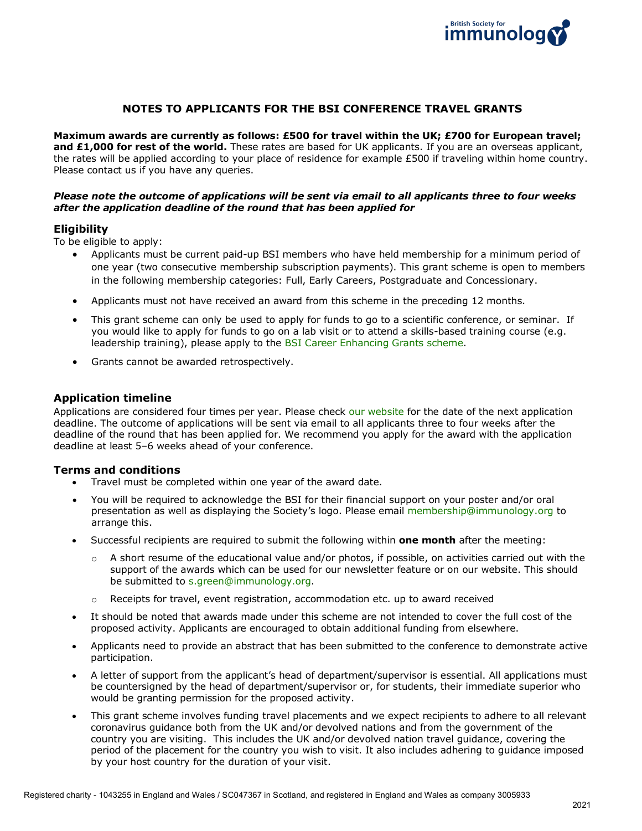

# **NOTES TO APPLICANTS FOR THE BSI CONFERENCE TRAVEL GRANTS**

**Maximum awards are currently as follows: £500 for travel within the UK; £700 for European travel; and £1,000 for rest of the world.** These rates are based for UK applicants. If you are an overseas applicant, the rates will be applied according to your place of residence for example £500 if traveling within home country. Please contact us if you have any queries.

#### *Please note the outcome of applications will be sent via email to all applicants three to four weeks after the application deadline of the round that has been applied for*

#### **Eligibility**

To be eligible to apply:

- Applicants must be current paid-up BSI members who have held membership for a minimum period of one year (two consecutive membership subscription payments). This grant scheme is open to members in the following membership categories: Full, Early Careers, Postgraduate and Concessionary.
- Applicants must not have received an award from this scheme in the preceding 12 months.
- This grant scheme can only be used to apply for funds to go to a scientific conference, or seminar. If you would like to apply for funds to go on a lab visit or to attend a skills-based training course (e.g. leadership training), please apply to the [BSI Career Enhancing Grants scheme.](https://www.immunology.org/grants-and-prizes/bsi-career-enhancing-grants)
- Grants cannot be awarded retrospectively.

# **Application timeline**

Applications are considered four times per year. Please check [our website](https://www.immunology.org/grants-and-prizes/bsi-conference-travel-grants) for the date of the next application deadline. The outcome of applications will be sent via email to all applicants three to four weeks after the deadline of the round that has been applied for. We recommend you apply for the award with the application deadline at least 5–6 weeks ahead of your conference.

#### **Terms and conditions**

- Travel must be completed within one year of the award date.
- You will be required to acknowledge the BSI for their financial support on your poster and/or oral presentation as well as displaying the Society's logo. Please email [membership@immunology.org](mailto:membership@immunology.org) to arrange this.
- Successful recipients are required to submit the following within **one month** after the meeting:
	- $\circ$  A short resume of the educational value and/or photos, if possible, on activities carried out with the support of the awards which can be used for our newsletter feature or on our website. This should be submitted to [s.green@immunology.org.](mailto:s.green@immunology.org)
	- $\circ$  Receipts for travel, event registration, accommodation etc. up to award received
- It should be noted that awards made under this scheme are not intended to cover the full cost of the proposed activity. Applicants are encouraged to obtain additional funding from elsewhere.
- Applicants need to provide an abstract that has been submitted to the conference to demonstrate active participation.
- A letter of support from the applicant's head of department/supervisor is essential. All applications must be countersigned by the head of department/supervisor or, for students, their immediate superior who would be granting permission for the proposed activity.
- This grant scheme involves funding travel placements and we expect recipients to adhere to all relevant coronavirus guidance both from the UK and/or devolved nations and from the government of the country you are visiting. This includes the UK and/or devolved nation travel guidance, covering the period of the placement for the country you wish to visit. It also includes adhering to guidance imposed by your host country for the duration of your visit.